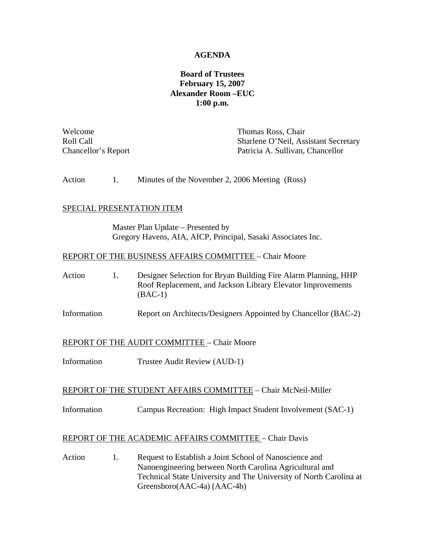## **AGENDA**

# **Board of Trustees February 15, 2007 Alexander Room –EUC 1:00 p.m.**

Welcome **Thomas** Ross, Chair Roll Call **Sharlene O'Neil**, Assistant Secretary Chancellor's Report Patricia A. Sullivan, Chancellor

Action 1. Minutes of the November 2, 2006 Meeting (Ross)

### SPECIAL PRESENTATION ITEM

Master Plan Update – Presented by Gregory Havens, AIA, AICP, Principal, Sasaki Associates Inc.

### REPORT OF THE BUSINESS AFFAIRS COMMITTEE – Chair Moore

Action 1. Designer Selection for Bryan Building Fire Alarm Planning, HHP Roof Replacement, and Jackson Library Elevator Improvements (BAC-1)

Information Report on Architects/Designers Appointed by Chancellor (BAC-2)

### REPORT OF THE AUDIT COMMITTEE – Chair Moore

Information Trustee Audit Review (AUD-1)

#### REPORT OF THE STUDENT AFFAIRS COMMITTEE – Chair McNeil-Miller

Information Campus Recreation: High Impact Student Involvement (SAC-1)

## REPORT OF THE ACADEMIC AFFAIRS COMMITTEE – Chair Davis

Action 1. Request to Establish a Joint School of Nanoscience and Nanoengineering between North Carolina Agricultural and Technical State University and The University of North Carolina at Greensboro(AAC-4a) (AAC-4b)